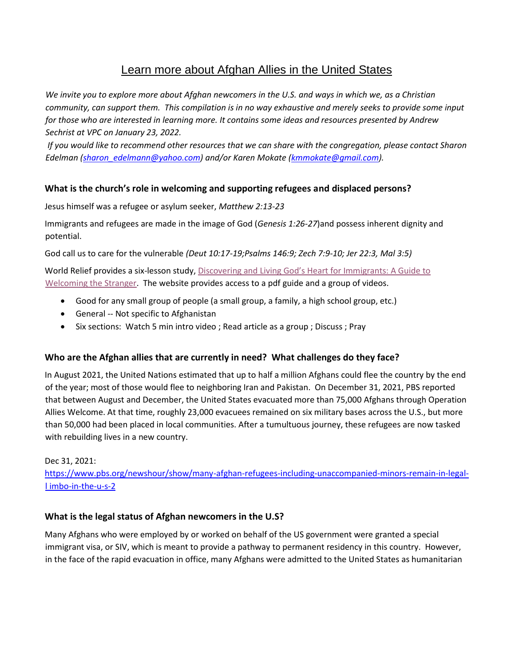# Learn more about Afghan Allies in the United States

*We invite you to explore more about Afghan newcomers in the U.S. and ways in which we, as a Christian community, can support them. This compilation is in no way exhaustive and merely seeks to provide some input for those who are interested in learning more. It contains some ideas and resources presented by Andrew Sechrist at VPC on January 23, 2022.* 

*If you would like to recommend other resources that we can share with the congregation, please contact Sharon Edelman (sharon\_edelmann@yahoo.com) and/or Karen Mokate (kmmokate@gmail.com).*

# **What is the church's role in welcoming and supporting refugees and displaced persons?**

Jesus himself was a refugee or asylum seeker, *Matthew 2:13-23*

Immigrants and refugees are made in the image of God (*Genesis 1:26-27*)and possess inherent dignity and potential.

God call us to care for the vulnerable *(Deut 10:17-19;Psalms 146:9; Zech 7:9-10; Jer 22:3, Mal 3:5)*

World Relief provides a six-lesson study, Discovering and Living God's Heart for Immigrants: A Guide to [Welcoming the Stranger.](https://worldrelief.org/guide-welcoming-the-stranger/) The website provides access to a pdf guide and a group of videos.

- Good for any small group of people (a small group, a family, a high school group, etc.)
- General -- Not specific to Afghanistan
- Six sections: Watch 5 min intro video ; Read article as a group ; Discuss ; Pray

#### **Who are the Afghan allies that are currently in need? What challenges do they face?**

In August 2021, the United Nations estimated that up to half a million Afghans could flee the country by the end of the year; most of those would flee to neighboring Iran and Pakistan. On December 31, 2021, PBS reported that between August and December, the United States evacuated more than 75,000 Afghans through Operation Allies Welcome. At that time, roughly 23,000 evacuees remained on six military bases across the U.S., but more than 50,000 had been placed in local communities. After a tumultuous journey, these refugees are now tasked with rebuilding lives in a new country.

#### Dec 31, 2021:

[https://www.pbs.org/newshour/show/many-afghan-refugees-including-unaccompanied-minors-remain-in-legal](https://www.pbs.org/newshour/show/many-afghan-refugees-including-unaccompanied-minors-remain-in-legal-limbo-in-the-u-s-2)[l imbo-in-the-u-s-2](https://www.pbs.org/newshour/show/many-afghan-refugees-including-unaccompanied-minors-remain-in-legal-limbo-in-the-u-s-2)

#### **What is the legal status of Afghan newcomers in the U.S?**

Many Afghans who were employed by or worked on behalf of the US government were granted a special immigrant visa, or SIV, which is meant to provide a pathway to permanent residency in this country. However, in the face of the rapid evacuation in office, many Afghans were admitted to the United States as humanitarian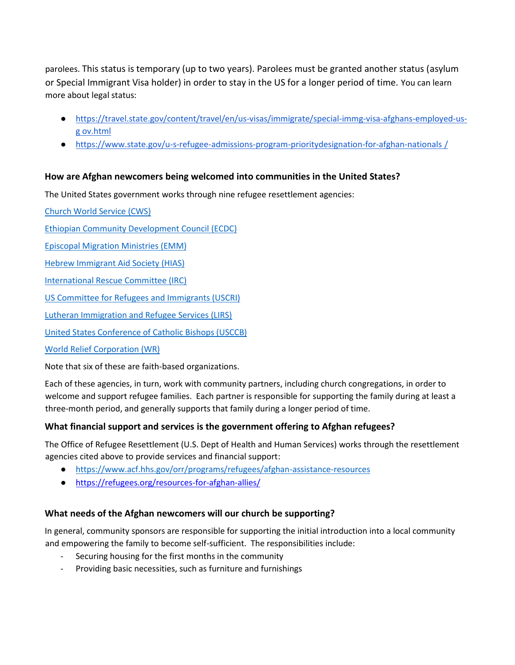parolees. This status is temporary (up to two years). Parolees must be granted another status (asylum or Special Immigrant Visa holder) in order to stay in the US for a longer period of time. You can learn more about legal status:

- [https://travel.state.gov/content/travel/en/us-visas/immigrate/special-immg-visa-afghans-employed-us](https://travel.state.gov/content/travel/en/us-visas/immigrate/special-immg-visa-afghans-employed-us-gov.html)[g ov.html](https://travel.state.gov/content/travel/en/us-visas/immigrate/special-immg-visa-afghans-employed-us-gov.html)
- [https://www.state.gov/u-s-refugee-admissions-program-prioritydesignation-for-afghan-nationals](https://www.state.gov/u-s-refugee-admissions-program-priority-2-designation-for-afghan-nationals/) [/](https://www.state.gov/u-s-refugee-admissions-program-priority-2-designation-for-afghan-nationals/)

# **How are Afghan newcomers being welcomed into communities in the United States?**

The United States government works through nine refugee resettlement agencies:

[Church World Service \(CWS\)](http://www.churchworldservice.org/)

[Ethiopian Community Development Council \(ECDC\)](http://www.ecdcus.org/)

[Episcopal Migration Ministries \(EMM\)](http://www.episcopalchurch.org/emm/)

[Hebrew Immigrant Aid Society \(HIAS\)](http://www.hias.org/)

[International Rescue Committee \(IRC\)](http://www.rescue.org/)

[US Committee for Refugees and Immigrants \(USCRI\)](http://www.refugees.org/)

[Lutheran Immigration and Refugee Services \(LIRS\)](http://www.lirs.org/)

[United States Conference of Catholic Bishops \(USCCB\)](http://www.usccb.org/)

[World Relief Corporation \(WR\)](http://worldrelief.org/)

Note that six of these are faith-based organizations.

Each of these agencies, in turn, work with community partners, including church congregations, in order to welcome and support refugee families. Each partner is responsible for supporting the family during at least a three-month period, and generally supports that family during a longer period of time.

# **What financial support and services is the government offering to Afghan refugees?**

The Office of Refugee Resettlement (U.S. Dept of Health and Human Services) works through the resettlement agencies cited above to provide services and financial support:

- <https://www.acf.hhs.gov/orr/programs/refugees/afghan-assistance-resources>
- <https://refugees.org/resources-for-afghan-allies/>

# **What needs of the Afghan newcomers will our church be supporting?**

In general, community sponsors are responsible for supporting the initial introduction into a local community and empowering the family to become self-sufficient. The responsibilities include:

- Securing housing for the first months in the community
- Providing basic necessities, such as furniture and furnishings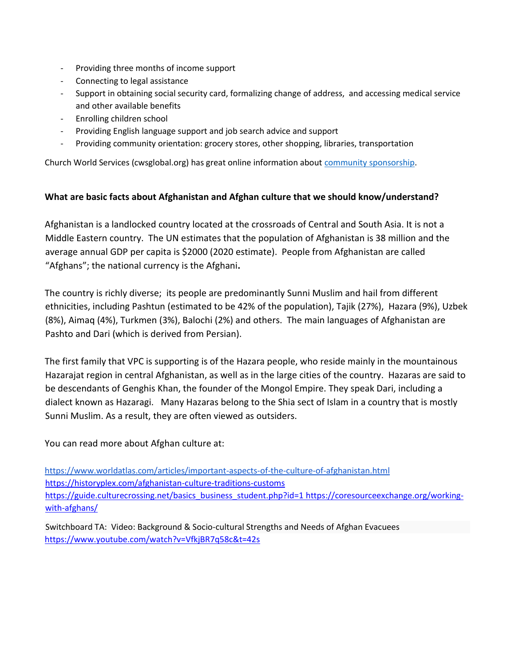- Providing three months of income support
- Connecting to legal assistance
- Support in obtaining social security card, formalizing change of address, and accessing medical service and other available benefits
- Enrolling children school
- Providing English language support and job search advice and support
- Providing community orientation: grocery stores, other shopping, libraries, transportation

Church World Services (cwsglobal.org) has great online information abou[t community sponsorship.](https://cwsglobal.org/take-action/community-sponsorship/welcoming-afghans/)

#### **What are basic facts about Afghanistan and Afghan culture that we should know/understand?**

Afghanistan is a landlocked country located at the crossroads of Central and South Asia. It is not a Middle Eastern country. The UN estimates that the population of Afghanistan is 38 million and the average annual GDP per capita is \$2000 (2020 estimate). People from Afghanistan are called "Afghans"; the national currency is the Afghani**.** 

The country is richly diverse; its people are predominantly Sunni Muslim and hail from different ethnicities, including Pashtun (estimated to be 42% of the population), Tajik (27%), Hazara (9%), Uzbek (8%), Aimaq (4%), Turkmen (3%), Balochi (2%) and others. The main languages of Afghanistan are Pashto and Dari (which is derived from Persian).

The first family that VPC is supporting is of the Hazara people, who reside mainly in the mountainous Hazarajat region in central Afghanistan, as well as in the large cities of the country. Hazaras are said to be descendants of Genghis Khan, the founder of the Mongol Empire. They speak Dari, including a dialect known as Hazaragi. Many Hazaras belong to the Shia sect of Islam in a country that is mostly Sunni Muslim. As a result, they are often viewed as outsiders.

You can read more about Afghan culture at:

<https://www.worldatlas.com/articles/important-aspects-of-the-culture-of-afghanistan.html> <https://historyplex.com/afghanistan-culture-traditions-customs> [https://guide.culturecrossing.net/basics\\_business\\_student.php?id=1](https://guide.culturecrossing.net/basics_business_student.php?id=1) [https://coresourceexchange.org/working](https://coresourceexchange.org/working-with-afghans/)[with-afghans/](https://coresourceexchange.org/working-with-afghans/)

Switchboard TA: Video: Background & Socio-cultural Strengths and Needs of Afghan Evacuees <https://www.youtube.com/watch?v=VfkjBR7q58c&t=42s>